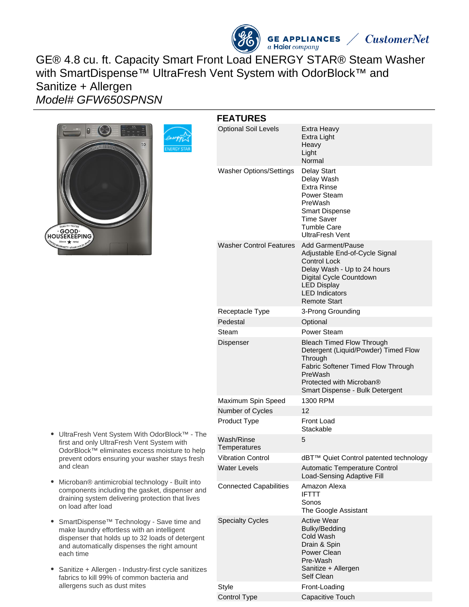

# GE® 4.8 cu. ft. Capacity Smart Front Load ENERGY STAR® Steam Washer with SmartDispense™ UltraFresh Vent System with OdorBlock™ and Sanitize + Allergen Model# GFW650SPNSN



|          | <b>FEATURES</b>                |                                                                                                                                                                                                            |
|----------|--------------------------------|------------------------------------------------------------------------------------------------------------------------------------------------------------------------------------------------------------|
|          | <b>Optional Soil Levels</b>    | Extra Heavy<br>Extra Light<br>Heavy<br>Light<br>Normal                                                                                                                                                     |
|          | <b>Washer Options/Settings</b> | <b>Delay Start</b><br>Delay Wash<br>Extra Rinse<br>Power Steam<br>PreWash<br><b>Smart Dispense</b><br>Time Saver<br>Tumble Care<br><b>UltraFresh Vent</b>                                                  |
|          | <b>Washer Control Features</b> | Add Garment/Pause<br>Adjustable End-of-Cycle Signal<br><b>Control Lock</b><br>Delay Wash - Up to 24 hours<br>Digital Cycle Countdown<br><b>LED Display</b><br><b>LED Indicators</b><br><b>Remote Start</b> |
|          | Receptacle Type                | 3-Prong Grounding                                                                                                                                                                                          |
|          | Pedestal                       | Optional                                                                                                                                                                                                   |
|          | Steam                          | Power Steam                                                                                                                                                                                                |
|          | Dispenser                      | <b>Bleach Timed Flow Through</b><br>Detergent (Liquid/Powder) Timed Flow<br>Through<br>Fabric Softener Timed Flow Through<br>PreWash<br>Protected with Microban®<br>Smart Dispense - Bulk Detergent        |
|          | Maximum Spin Speed             | 1300 RPM                                                                                                                                                                                                   |
|          | Number of Cycles               | 12                                                                                                                                                                                                         |
| he       | Product Type                   | Front Load<br>Stackable                                                                                                                                                                                    |
| Ιp       | Wash/Rinse<br>Temperatures     | 5                                                                                                                                                                                                          |
| h        | <b>Vibration Control</b>       | dBT™ Quiet Control patented technology                                                                                                                                                                     |
|          | <b>Water Levels</b>            | Automatic Temperature Control<br>Load-Sensing Adaptive Fill                                                                                                                                                |
| ٦d       | <b>Connected Capabilities</b>  | Amazon Alexa<br><b>IFTTT</b><br>Sonos<br>The Google Assistant                                                                                                                                              |
| ٦t<br>es | <b>Specialty Cycles</b>        | <b>Active Wear</b><br>Bulky/Bedding<br>Cold Wash<br>Drain & Spin<br>Power Clean<br>Pre-Wash<br>Sanitize + Allergen<br>Self Clean                                                                           |
|          | <b>Style</b>                   | Front-Loading                                                                                                                                                                                              |
|          | Control Type                   | Capacitive Touch                                                                                                                                                                                           |

- UltraFresh Vent System With OdorBlock™ The first and only UltraFresh Vent System with OdorBlock™ eliminates excess moisture to hel prevent odors ensuring your washer stays fresh and clean
- Microban® antimicrobial technology Built into components including the gasket, dispenser an draining system delivering protection that lives on load after load
- SmartDispense™ Technology Save time and make laundry effortless with an intelligent dispenser that holds up to 32 loads of detergent and automatically dispenses the right amount each time
- $\bullet$ Sanitize + Allergen - Industry-first cycle sanitize fabrics to kill 99% of common bacteria and allergens such as dust mites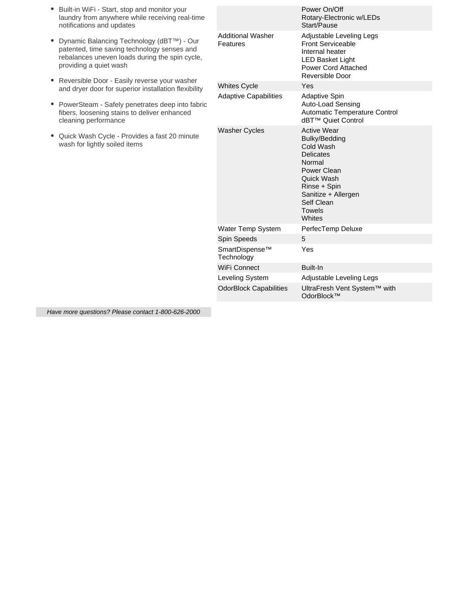| Built-in WiFi - Start, stop and monitor your<br>laundry from anywhere while receiving real-time<br>notifications and updates                                                   |                                      | Power On/Off<br>Rotary-Electronic w/LEDs<br>Start/Pause                                                                                                                                     |
|--------------------------------------------------------------------------------------------------------------------------------------------------------------------------------|--------------------------------------|---------------------------------------------------------------------------------------------------------------------------------------------------------------------------------------------|
| Dynamic Balancing Technology (dBT™) - Our<br>٠<br>patented, time saving technology senses and<br>rebalances uneven loads during the spin cycle,<br>providing a quiet wash<br>٠ | <b>Additional Washer</b><br>Features | Adjustable Leveling Legs<br><b>Front Serviceable</b><br>Internal heater<br><b>LED Basket Light</b><br>Power Cord Attached<br>Reversible Door                                                |
| Reversible Door - Easily reverse your washer<br>and dryer door for superior installation flexibility                                                                           | <b>Whites Cycle</b>                  | Yes                                                                                                                                                                                         |
| PowerSteam - Safely penetrates deep into fabric<br>٠<br>fibers, loosening stains to deliver enhanced<br>cleaning performance                                                   | <b>Adaptive Capabilities</b>         | <b>Adaptive Spin</b><br>Auto-Load Sensing<br>Automatic Temperature Control<br>dBT™ Quiet Control                                                                                            |
| Quick Wash Cycle - Provides a fast 20 minute<br>wash for lightly soiled items                                                                                                  | <b>Washer Cycles</b>                 | <b>Active Wear</b><br>Bulky/Bedding<br>Cold Wash<br><b>Delicates</b><br>Normal<br>Power Clean<br>Quick Wash<br>Rinse + Spin<br>Sanitize + Allergen<br>Self Clean<br><b>Towels</b><br>Whites |
|                                                                                                                                                                                | Water Temp System                    | PerfecTemp Deluxe                                                                                                                                                                           |
|                                                                                                                                                                                | Spin Speeds                          | 5                                                                                                                                                                                           |
|                                                                                                                                                                                | SmartDispense™<br>Technology         | Yes                                                                                                                                                                                         |
|                                                                                                                                                                                | WiFi Connect                         | Built-In                                                                                                                                                                                    |
|                                                                                                                                                                                | Leveling System                      | Adjustable Leveling Legs                                                                                                                                                                    |
|                                                                                                                                                                                | <b>OdorBlock Capabilities</b>        | UltraFresh Vent System™ with<br>OdorBlock™                                                                                                                                                  |

Have more questions? Please contact 1-800-626-2000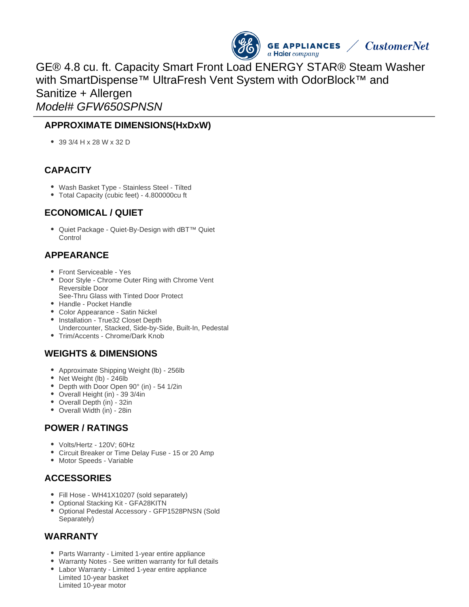

GE® 4.8 cu. ft. Capacity Smart Front Load ENERGY STAR® Steam Washer with SmartDispense™ UltraFresh Vent System with OdorBlock™ and Sanitize + Allergen Model# GFW650SPNSN

#### **APPROXIMATE DIMENSIONS(HxDxW)**

39 3/4 H x 28 W x 32 D

#### **CAPACITY**

- Wash Basket Type Stainless Steel Tilted
- Total Capacity (cubic feet) 4.800000cu ft

#### **ECONOMICAL / QUIET**

● Quiet Package - Quiet-By-Design with dBT<sup>™</sup> Quiet **Control** 

# **APPEARANCE**

- Front Serviceable Yes
- Door Style Chrome Outer Ring with Chrome Vent Reversible Door See-Thru Glass with Tinted Door Protect
- Handle Pocket Handle
- Color Appearance Satin Nickel
- Installation True32 Closet Depth Undercounter, Stacked, Side-by-Side, Built-In, Pedestal
- Trim/Accents Chrome/Dark Knob

# **WEIGHTS & DIMENSIONS**

- Approximate Shipping Weight (lb) 256lb
- Net Weight (lb) 246lb
- Depth with Door Open 90° (in) 54 1/2in
- Overall Height (in) 39 3/4in
- Overall Depth (in) 32in
- Overall Width (in) 28in

# **POWER / RATINGS**

- Volts/Hertz 120V; 60Hz
- Circuit Breaker or Time Delay Fuse 15 or 20 Amp
- Motor Speeds Variable

# **ACCESSORIES**

- Fill Hose WH41X10207 (sold separately)
- Optional Stacking Kit GFA28KITN
- Optional Pedestal Accessory GFP1528PNSN (Sold Separately)

#### **WARRANTY**

- Parts Warranty Limited 1-year entire appliance
- Warranty Notes See written warranty for full details
- Labor Warranty Limited 1-year entire appliance Limited 10-year basket Limited 10-year motor